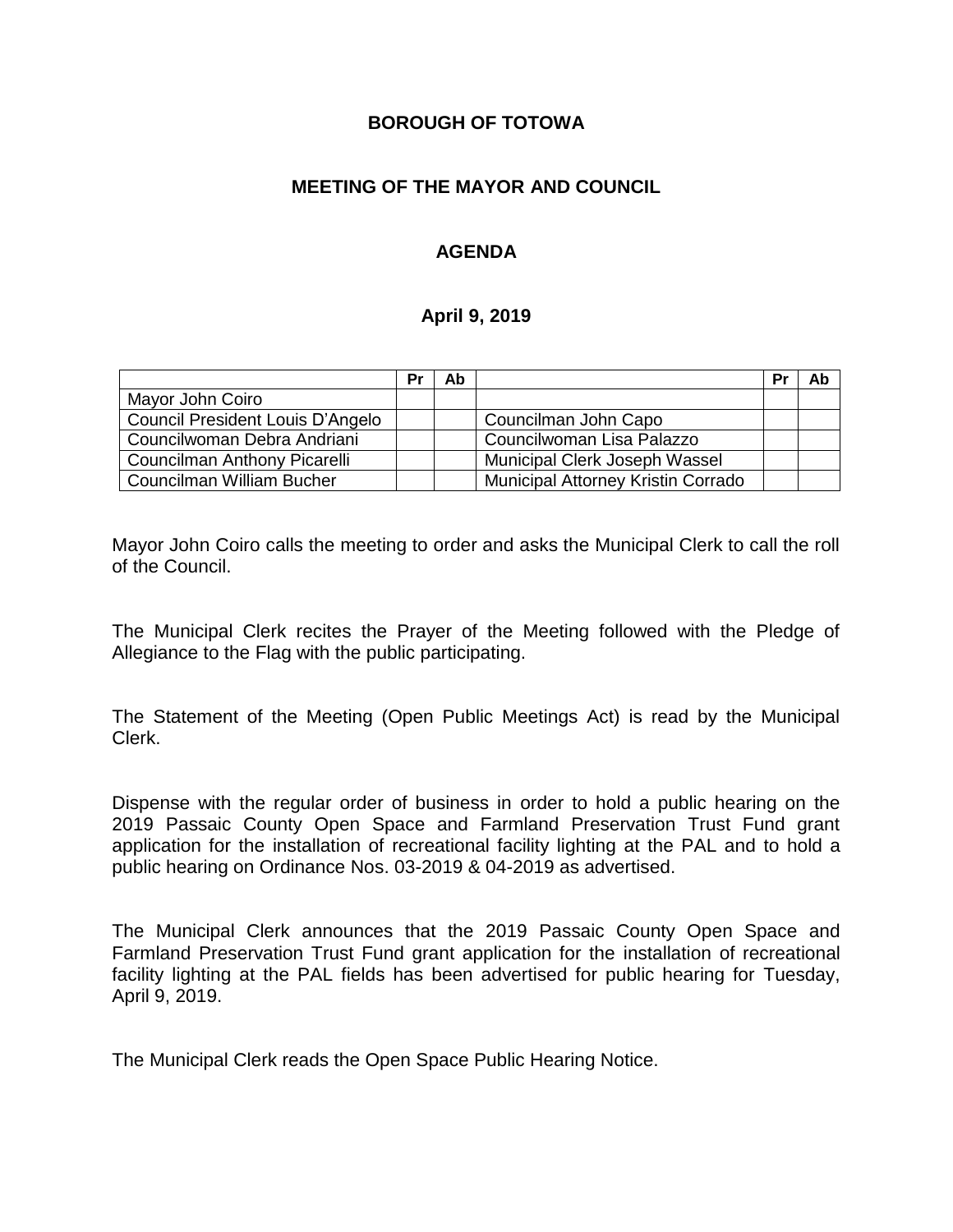### **BOROUGH OF TOTOWA**

# **MEETING OF THE MAYOR AND COUNCIL**

# **AGENDA**

#### **April 9, 2019**

|                                  | Pr | Ab |                                    | Pr | Ab |
|----------------------------------|----|----|------------------------------------|----|----|
| Mayor John Coiro                 |    |    |                                    |    |    |
| Council President Louis D'Angelo |    |    | Councilman John Capo               |    |    |
| Councilwoman Debra Andriani      |    |    | Councilwoman Lisa Palazzo          |    |    |
| Councilman Anthony Picarelli     |    |    | Municipal Clerk Joseph Wassel      |    |    |
| Councilman William Bucher        |    |    | Municipal Attorney Kristin Corrado |    |    |

Mayor John Coiro calls the meeting to order and asks the Municipal Clerk to call the roll of the Council.

The Municipal Clerk recites the Prayer of the Meeting followed with the Pledge of Allegiance to the Flag with the public participating.

The Statement of the Meeting (Open Public Meetings Act) is read by the Municipal Clerk.

Dispense with the regular order of business in order to hold a public hearing on the 2019 Passaic County Open Space and Farmland Preservation Trust Fund grant application for the installation of recreational facility lighting at the PAL and to hold a public hearing on Ordinance Nos. 03-2019 & 04-2019 as advertised.

The Municipal Clerk announces that the 2019 Passaic County Open Space and Farmland Preservation Trust Fund grant application for the installation of recreational facility lighting at the PAL fields has been advertised for public hearing for Tuesday, April 9, 2019.

The Municipal Clerk reads the Open Space Public Hearing Notice.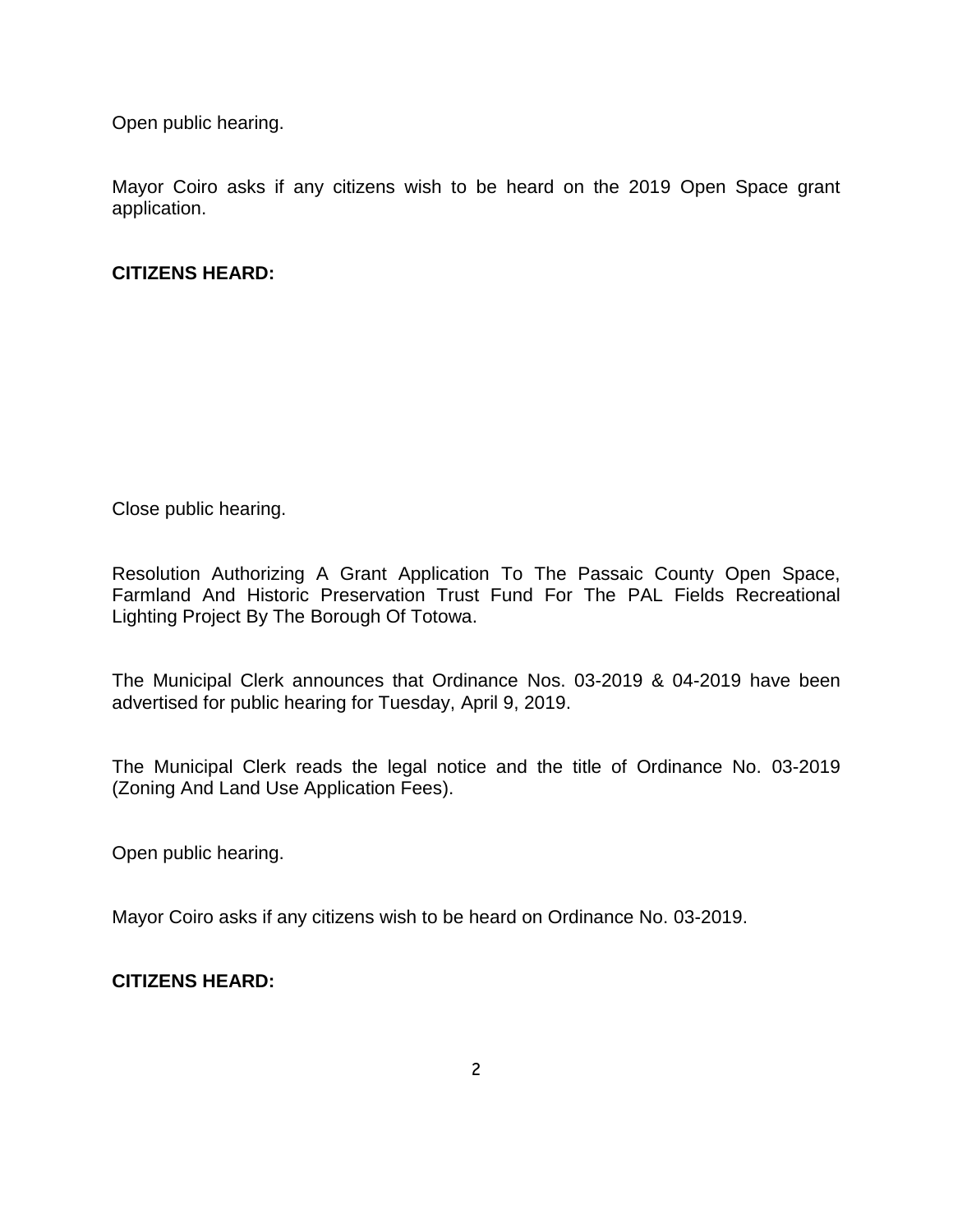Open public hearing.

Mayor Coiro asks if any citizens wish to be heard on the 2019 Open Space grant application.

# **CITIZENS HEARD:**

Close public hearing.

Resolution Authorizing A Grant Application To The Passaic County Open Space, Farmland And Historic Preservation Trust Fund For The PAL Fields Recreational Lighting Project By The Borough Of Totowa.

The Municipal Clerk announces that Ordinance Nos. 03-2019 & 04-2019 have been advertised for public hearing for Tuesday, April 9, 2019.

The Municipal Clerk reads the legal notice and the title of Ordinance No. 03-2019 (Zoning And Land Use Application Fees).

Open public hearing.

Mayor Coiro asks if any citizens wish to be heard on Ordinance No. 03-2019.

**CITIZENS HEARD:**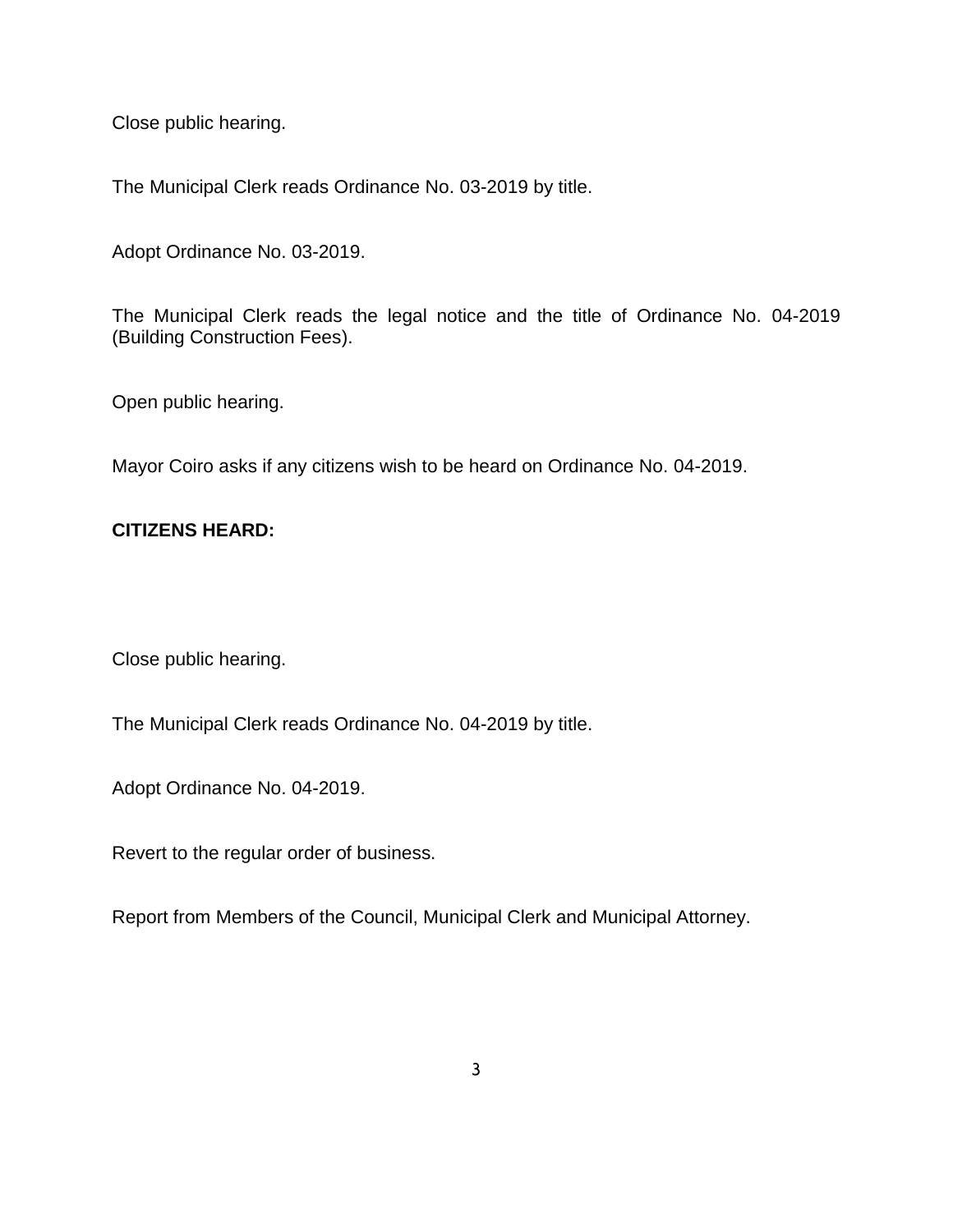Close public hearing.

The Municipal Clerk reads Ordinance No. 03-2019 by title.

Adopt Ordinance No. 03-2019.

The Municipal Clerk reads the legal notice and the title of Ordinance No. 04-2019 (Building Construction Fees).

Open public hearing.

Mayor Coiro asks if any citizens wish to be heard on Ordinance No. 04-2019.

### **CITIZENS HEARD:**

Close public hearing.

The Municipal Clerk reads Ordinance No. 04-2019 by title.

Adopt Ordinance No. 04-2019.

Revert to the regular order of business.

Report from Members of the Council, Municipal Clerk and Municipal Attorney.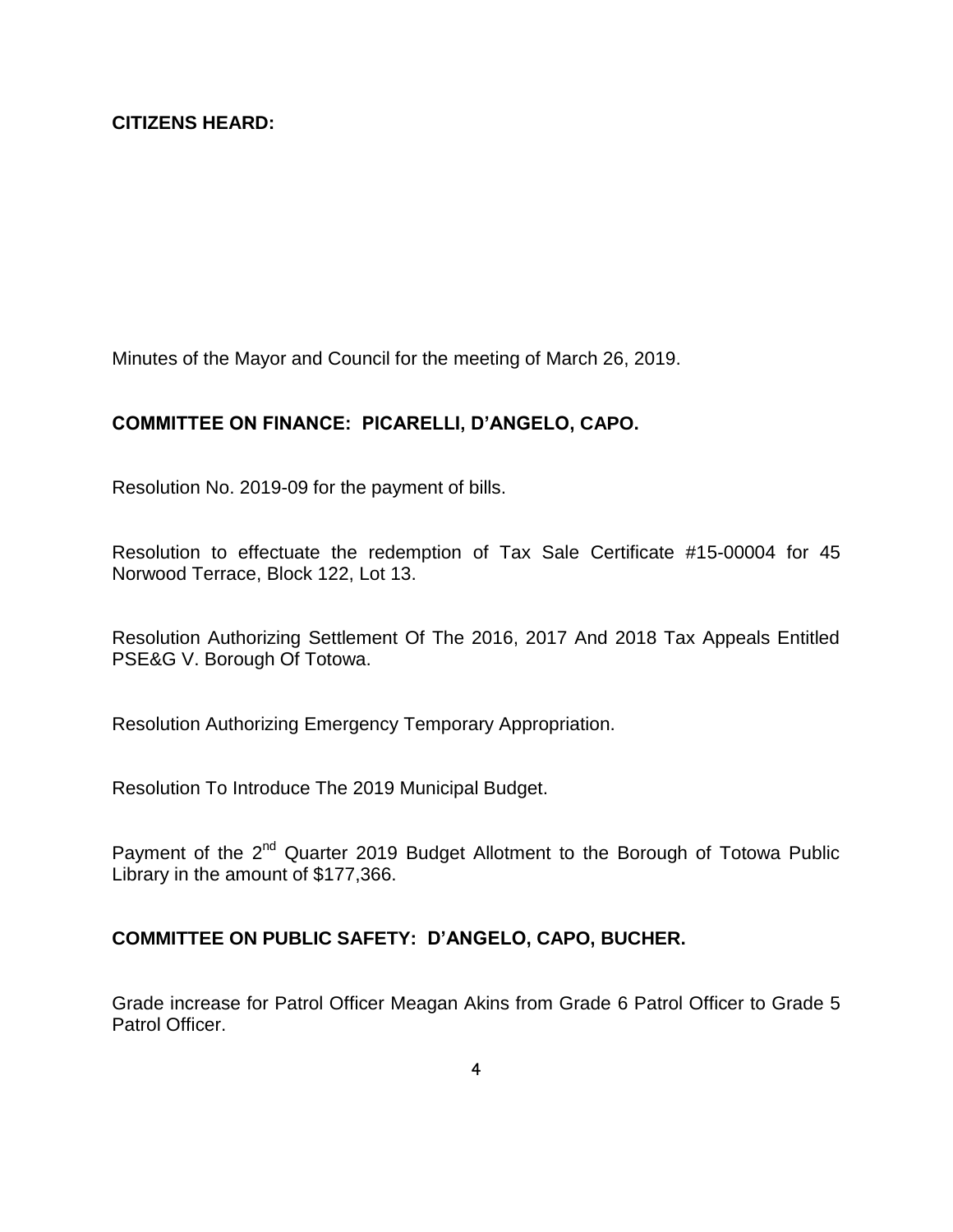Minutes of the Mayor and Council for the meeting of March 26, 2019.

### **COMMITTEE ON FINANCE: PICARELLI, D'ANGELO, CAPO.**

Resolution No. 2019-09 for the payment of bills.

Resolution to effectuate the redemption of Tax Sale Certificate #15-00004 for 45 Norwood Terrace, Block 122, Lot 13.

Resolution Authorizing Settlement Of The 2016, 2017 And 2018 Tax Appeals Entitled PSE&G V. Borough Of Totowa.

Resolution Authorizing Emergency Temporary Appropriation.

Resolution To Introduce The 2019 Municipal Budget.

Payment of the 2<sup>nd</sup> Quarter 2019 Budget Allotment to the Borough of Totowa Public Library in the amount of \$177,366.

### **COMMITTEE ON PUBLIC SAFETY: D'ANGELO, CAPO, BUCHER.**

Grade increase for Patrol Officer Meagan Akins from Grade 6 Patrol Officer to Grade 5 Patrol Officer.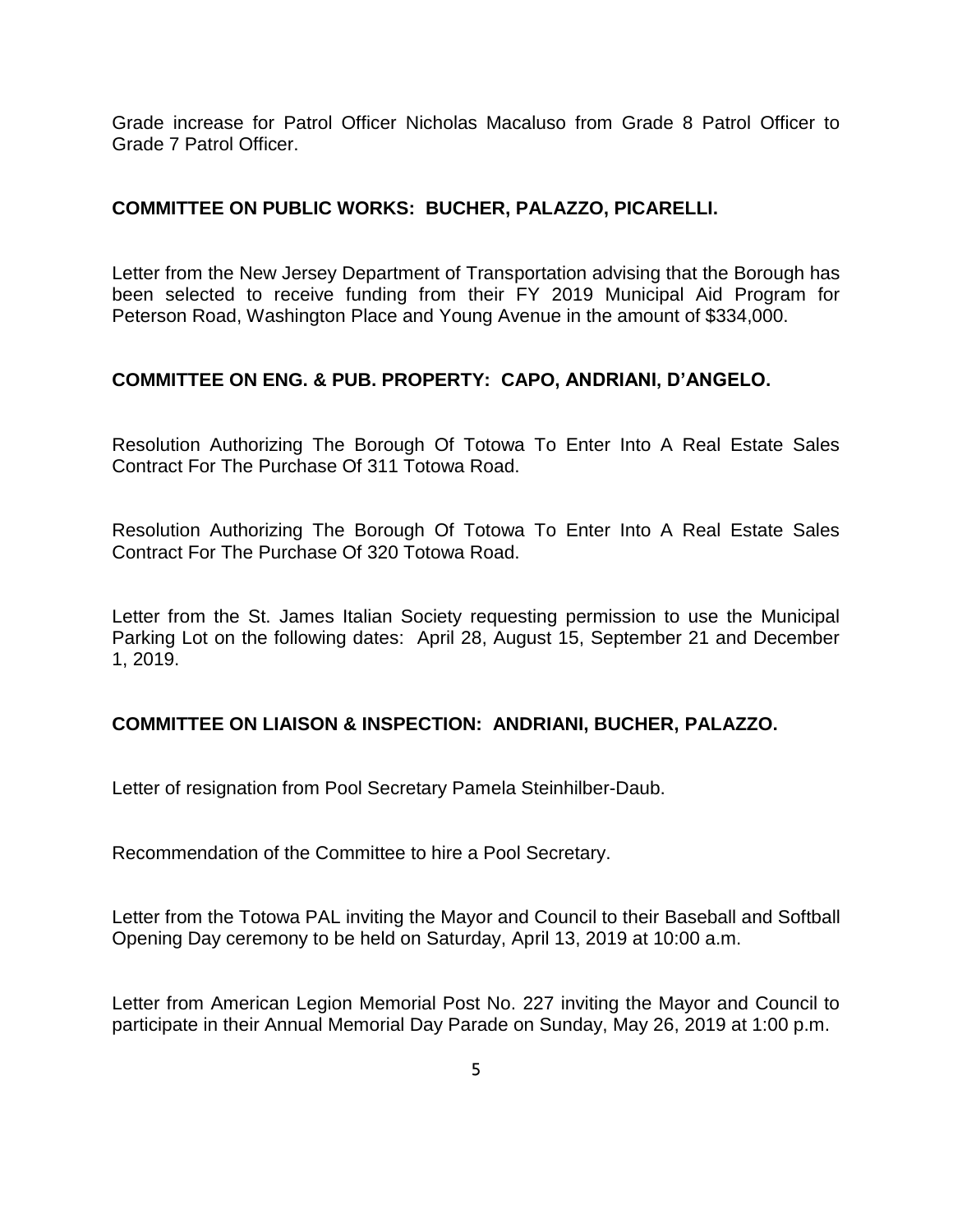Grade increase for Patrol Officer Nicholas Macaluso from Grade 8 Patrol Officer to Grade 7 Patrol Officer.

### **COMMITTEE ON PUBLIC WORKS: BUCHER, PALAZZO, PICARELLI.**

Letter from the New Jersey Department of Transportation advising that the Borough has been selected to receive funding from their FY 2019 Municipal Aid Program for Peterson Road, Washington Place and Young Avenue in the amount of \$334,000.

### **COMMITTEE ON ENG. & PUB. PROPERTY: CAPO, ANDRIANI, D'ANGELO.**

Resolution Authorizing The Borough Of Totowa To Enter Into A Real Estate Sales Contract For The Purchase Of 311 Totowa Road.

Resolution Authorizing The Borough Of Totowa To Enter Into A Real Estate Sales Contract For The Purchase Of 320 Totowa Road.

Letter from the St. James Italian Society requesting permission to use the Municipal Parking Lot on the following dates: April 28, August 15, September 21 and December 1, 2019.

### **COMMITTEE ON LIAISON & INSPECTION: ANDRIANI, BUCHER, PALAZZO.**

Letter of resignation from Pool Secretary Pamela Steinhilber-Daub.

Recommendation of the Committee to hire a Pool Secretary.

Letter from the Totowa PAL inviting the Mayor and Council to their Baseball and Softball Opening Day ceremony to be held on Saturday, April 13, 2019 at 10:00 a.m.

Letter from American Legion Memorial Post No. 227 inviting the Mayor and Council to participate in their Annual Memorial Day Parade on Sunday, May 26, 2019 at 1:00 p.m.